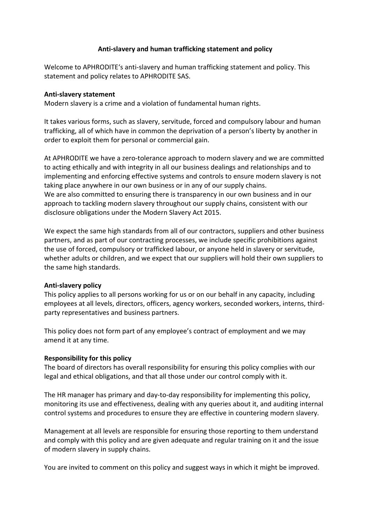### **Anti-slavery and human trafficking statement and policy**

Welcome to APHRODITE's anti-slavery and human trafficking statement and policy. This statement and policy relates to APHRODITE SAS.

### **Anti-slavery statement**

Modern slavery is a crime and a violation of fundamental human rights.

It takes various forms, such as slavery, servitude, forced and compulsory labour and human trafficking, all of which have in common the deprivation of a person's liberty by another in order to exploit them for personal or commercial gain.

At APHRODITE we have a zero-tolerance approach to modern slavery and we are committed to acting ethically and with integrity in all our business dealings and relationships and to implementing and enforcing effective systems and controls to ensure modern slavery is not taking place anywhere in our own business or in any of our supply chains. We are also committed to ensuring there is transparency in our own business and in our approach to tackling modern slavery throughout our supply chains, consistent with our disclosure obligations under the Modern Slavery Act 2015.

We expect the same high standards from all of our contractors, suppliers and other business partners, and as part of our contracting processes, we include specific prohibitions against the use of forced, compulsory or trafficked labour, or anyone held in slavery or servitude, whether adults or children, and we expect that our suppliers will hold their own suppliers to the same high standards.

# **Anti-slavery policy**

This policy applies to all persons working for us or on our behalf in any capacity, including employees at all levels, directors, officers, agency workers, seconded workers, interns, thirdparty representatives and business partners.

This policy does not form part of any employee's contract of employment and we may amend it at any time.

# **Responsibility for this policy**

The board of directors has overall responsibility for ensuring this policy complies with our legal and ethical obligations, and that all those under our control comply with it.

The HR manager has primary and day-to-day responsibility for implementing this policy, monitoring its use and effectiveness, dealing with any queries about it, and auditing internal control systems and procedures to ensure they are effective in countering modern slavery.

Management at all levels are responsible for ensuring those reporting to them understand and comply with this policy and are given adequate and regular training on it and the issue of modern slavery in supply chains.

You are invited to comment on this policy and suggest ways in which it might be improved.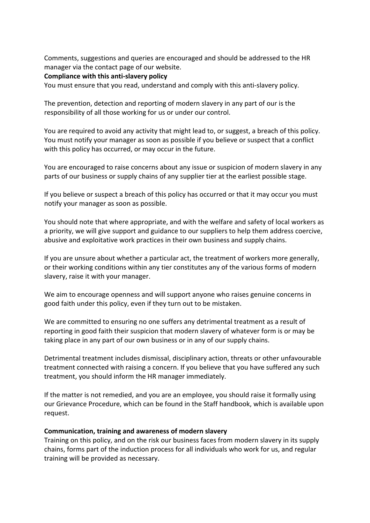Comments, suggestions and queries are encouraged and should be addressed to the HR manager via the contact page of our website.

#### **Compliance with this anti-slavery policy**

You must ensure that you read, understand and comply with this anti-slavery policy.

The prevention, detection and reporting of modern slavery in any part of our is the responsibility of all those working for us or under our control.

You are required to avoid any activity that might lead to, or suggest, a breach of this policy. You must notify your manager as soon as possible if you believe or suspect that a conflict with this policy has occurred, or may occur in the future.

You are encouraged to raise concerns about any issue or suspicion of modern slavery in any parts of our business or supply chains of any supplier tier at the earliest possible stage.

If you believe or suspect a breach of this policy has occurred or that it may occur you must notify your manager as soon as possible.

You should note that where appropriate, and with the welfare and safety of local workers as a priority, we will give support and guidance to our suppliers to help them address coercive, abusive and exploitative work practices in their own business and supply chains.

If you are unsure about whether a particular act, the treatment of workers more generally, or their working conditions within any tier constitutes any of the various forms of modern slavery, raise it with your manager.

We aim to encourage openness and will support anyone who raises genuine concerns in good faith under this policy, even if they turn out to be mistaken.

We are committed to ensuring no one suffers any detrimental treatment as a result of reporting in good faith their suspicion that modern slavery of whatever form is or may be taking place in any part of our own business or in any of our supply chains.

Detrimental treatment includes dismissal, disciplinary action, threats or other unfavourable treatment connected with raising a concern. If you believe that you have suffered any such treatment, you should inform the HR manager immediately.

If the matter is not remedied, and you are an employee, you should raise it formally using our Grievance Procedure, which can be found in the Staff handbook, which is available upon request.

#### **Communication, training and awareness of modern slavery**

Training on this policy, and on the risk our business faces from modern slavery in its supply chains, forms part of the induction process for all individuals who work for us, and regular training will be provided as necessary.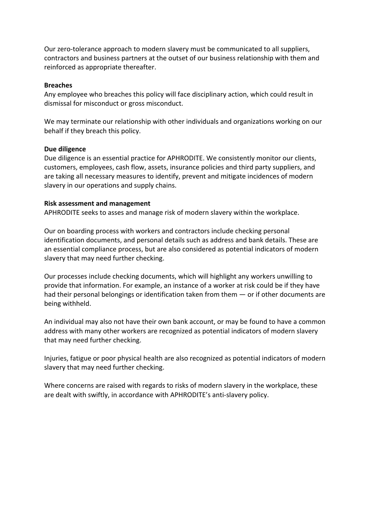Our zero-tolerance approach to modern slavery must be communicated to all suppliers, contractors and business partners at the outset of our business relationship with them and reinforced as appropriate thereafter.

#### **Breaches**

Any employee who breaches this policy will face disciplinary action, which could result in dismissal for misconduct or gross misconduct.

We may terminate our relationship with other individuals and organizations working on our behalf if they breach this policy.

#### **Due diligence**

Due diligence is an essential practice for APHRODITE. We consistently monitor our clients, customers, employees, cash flow, assets, insurance policies and third party suppliers, and are taking all necessary measures to identify, prevent and mitigate incidences of modern slavery in our operations and supply chains.

#### **Risk assessment and management**

APHRODITE seeks to asses and manage risk of modern slavery within the workplace.

Our on boarding process with workers and contractors include checking personal identification documents, and personal details such as address and bank details. These are an essential compliance process, but are also considered as potential indicators of modern slavery that may need further checking.

Our processes include checking documents, which will highlight any workers unwilling to provide that information. For example, an instance of a worker at risk could be if they have had their personal belongings or identification taken from them — or if other documents are being withheld.

An individual may also not have their own bank account, or may be found to have a common address with many other workers are recognized as potential indicators of modern slavery that may need further checking.

Injuries, fatigue or poor physical health are also recognized as potential indicators of modern slavery that may need further checking.

Where concerns are raised with regards to risks of modern slavery in the workplace, these are dealt with swiftly, in accordance with APHRODITE's anti-slavery policy.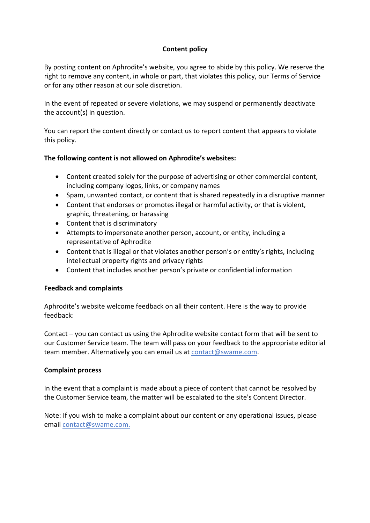# **Content policy**

By posting content on Aphrodite's website, you agree to abide by this policy. We reserve the right to remove any content, in whole or part, that violates this policy, our Terms of Service or for any other reason at our sole discretion.

In the event of repeated or severe violations, we may suspend or permanently deactivate the account(s) in question.

You can report the content directly or contact us to report content that appears to violate this policy.

### **The following content is not allowed on Aphrodite's websites:**

- Content created solely for the purpose of advertising or other commercial content, including company logos, links, or company names
- Spam, unwanted contact, or content that is shared repeatedly in a disruptive manner
- Content that endorses or promotes illegal or harmful activity, or that is violent, graphic, threatening, or harassing
- Content that is discriminatory
- Attempts to impersonate another person, account, or entity, including a representative of Aphrodite
- Content that is illegal or that violates another person's or entity's rights, including intellectual property rights and privacy rights
- Content that includes another person's private or confidential information

# **Feedback and complaints**

Aphrodite's website welcome feedback on all their content. Here is the way to provide feedback:

Contact – you can contact us using the Aphrodite website contact form that will be sent to our Customer Service team. The team will pass on your feedback to the appropriate editorial team member. Alternatively you can email us at contact@swame.com.

#### **Complaint process**

In the event that a complaint is made about a piece of content that cannot be resolved by the Customer Service team, the matter will be escalated to the site's Content Director.

Note: If you wish to make a complaint about our content or any operational issues, please email contact@swame.com.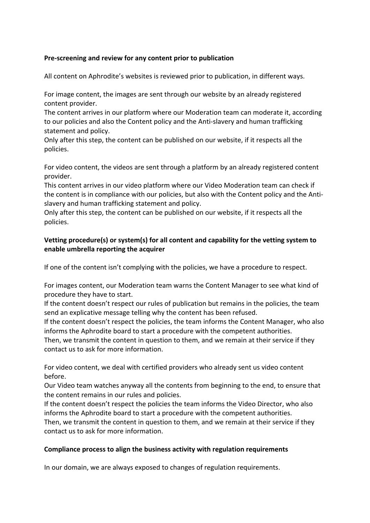## **Pre-screening and review for any content prior to publication**

All content on Aphrodite's websites is reviewed prior to publication, in different ways.

For image content, the images are sent through our website by an already registered content provider.

The content arrives in our platform where our Moderation team can moderate it, according to our policies and also the Content policy and the Anti-slavery and human trafficking statement and policy.

Only after this step, the content can be published on our website, if it respects all the policies.

For video content, the videos are sent through a platform by an already registered content provider.

This content arrives in our video platform where our Video Moderation team can check if the content is in compliance with our policies, but also with the Content policy and the Antislavery and human trafficking statement and policy.

Only after this step, the content can be published on our website, if it respects all the policies.

# **Vetting procedure(s) or system(s) for all content and capability for the vetting system to enable umbrella reporting the acquirer**

If one of the content isn't complying with the policies, we have a procedure to respect.

For images content, our Moderation team warns the Content Manager to see what kind of procedure they have to start.

If the content doesn't respect our rules of publication but remains in the policies, the team send an explicative message telling why the content has been refused.

If the content doesn't respect the policies, the team informs the Content Manager, who also informs the Aphrodite board to start a procedure with the competent authorities.

Then, we transmit the content in question to them, and we remain at their service if they contact us to ask for more information.

For video content, we deal with certified providers who already sent us video content before.

Our Video team watches anyway all the contents from beginning to the end, to ensure that the content remains in our rules and policies.

If the content doesn't respect the policies the team informs the Video Director, who also informs the Aphrodite board to start a procedure with the competent authorities. Then, we transmit the content in question to them, and we remain at their service if they contact us to ask for more information.

#### **Compliance process to align the business activity with regulation requirements**

In our domain, we are always exposed to changes of regulation requirements.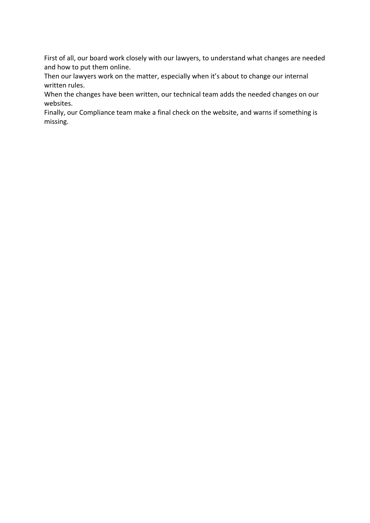First of all, our board work closely with our lawyers, to understand what changes are needed and how to put them online.

Then our lawyers work on the matter, especially when it's about to change our internal written rules.

When the changes have been written, our technical team adds the needed changes on our websites.

Finally, our Compliance team make a final check on the website, and warns if something is missing.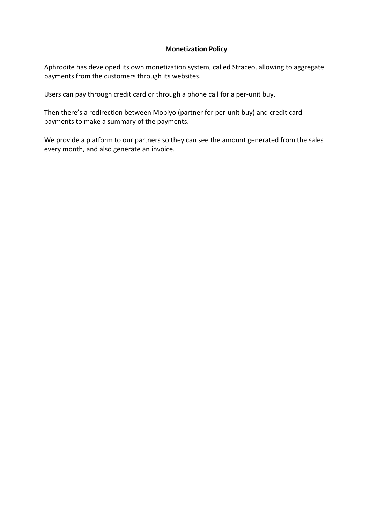### **Monetization Policy**

Aphrodite has developed its own monetization system, called Straceo, allowing to aggregate payments from the customers through its websites.

Users can pay through credit card or through a phone call for a per-unit buy.

Then there's a redirection between Mobiyo (partner for per-unit buy) and credit card payments to make a summary of the payments.

We provide a platform to our partners so they can see the amount generated from the sales every month, and also generate an invoice.